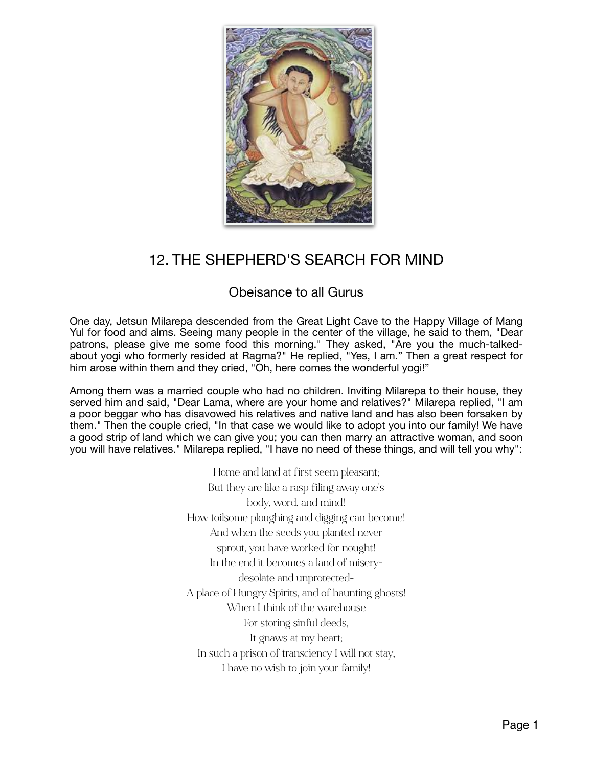

## 12. THE SHEPHERD'S SEARCH FOR MIND

## Obeisance to all Gurus

One day, Jetsun Milarepa descended from the Great Light Cave to the Happy Village of Mang Yul for food and alms. Seeing many people in the center of the village, he said to them, "Dear patrons, please give me some food this morning." They asked, "Are you the much-talkedabout yogi who formerly resided at Ragma?" He replied, "Yes, I am." Then a great respect for him arose within them and they cried, "Oh, here comes the wonderful yogi!"

Among them was a married couple who had no children. Inviting Milarepa to their house, they served him and said, "Dear Lama, where are your home and relatives?" Milarepa replied, "I am a poor beggar who has disavowed his relatives and native land and has also been forsaken by them." Then the couple cried, "In that case we would like to adopt you into our family! We have a good strip of land which we can give you; you can then marry an attractive woman, and soon you will have relatives." Milarepa replied, "I have no need of these things, and will tell you why":

> Home and land at first seem pleasant; But they are like a rasp filing away one's body, word, and mind! How toilsome ploughing and digging can become! And when the seeds you planted never sprout, you have worked for nought! In the end it becomes a land of miserydesolate and unprotected-A place of Hungry Spirits, and of haunting ghosts! When I think of the warehouse For storing sinful deeds, It gnaws at my heart; In such a prison of transciency I will not stay, I have no wish to join your family!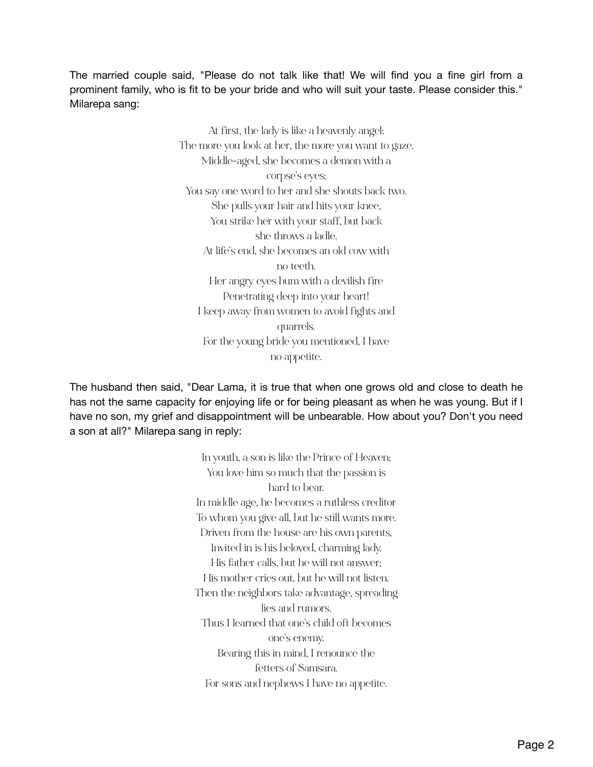The married couple said, "Please do not talk like that! We will find you a fine girl from a prominent family, who is fit to be your bride and who will suit your taste. Please consider this." Milarepa sang:

> At first, the lady is like a heavenly angel; The more you look at her, the more you want to gaze. Middle-aged, she becomes a demon with a corpse's eyes; You say one word to her and she shouts back two. She pulls your hair and hits your knee, You strike her with your staff, but back she throws a ladle. At life's end, she becomes an old cow with no teeth. Her angry eyes bum with a devilish fire Penetrating deep into your heart! I keep away from women to avoid fights and quarrels. For the young bride you mentioned, I have no appetite.

The husband then said, "Dear Lama, it is true that when one grows old and close to death he has not the same capacity for enjoying life or for being pleasant as when he was young. But if I have no son, my grief and disappointment will be unbearable. How about you? Don't you need a son at all?" Milarepa sang in reply:

> In youth, a son is like the Prince of Heaven; You love him so much that the passion is hard to bear. In middle age, he becomes a ruthless creditor To whom you give all, but he still wants more. Driven from the house are his own parents, Invited in is his beloved, charming lady. His father calls, but he will not answer; His mother cries out, but he will not listen. Then the neighbors take advantage, spreading lies and rumors. Thus I learned that one's child oft becomes one's enemy. Bearing this in mind, I renounce the fetters of Samsara. For sons and nephews I have no appetite.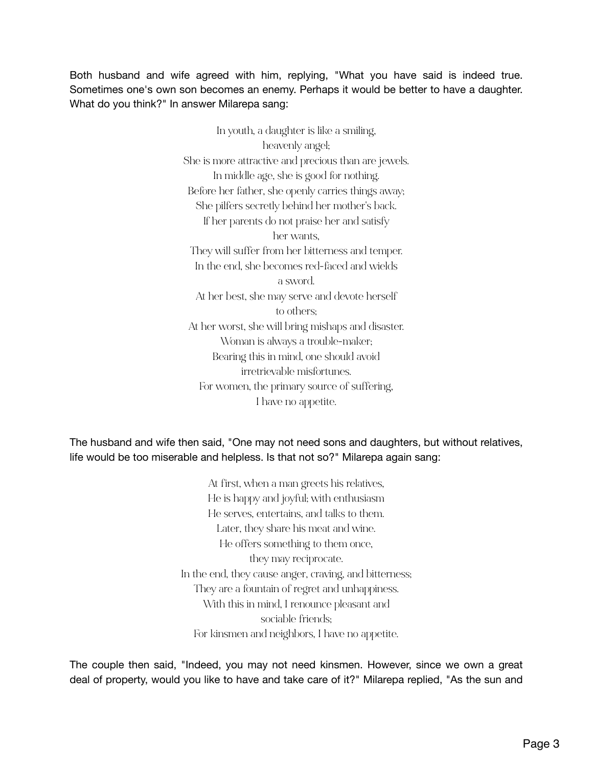Both husband and wife agreed with him, replying, "What you have said is indeed true. Sometimes one's own son becomes an enemy. Perhaps it would be better to have a daughter. What do you think?" In answer Milarepa sang:

> In youth, a daughter is like a smiling, heavenly angel; She is more attractive and precious than are jewels. In middle age, she is good for nothing. Before her father, she openly carries things away; She pilfers secretly behind her mother's back. If her parents do not praise her and satisfy her wants, They will suffer from her bitterness and temper. In the end, she becomes red-faced and wields a sword. At her best, she may serve and devote herself to others; At her worst, she will bring mishaps and disaster. Woman is always a trouble-maker; Bearing this in mind, one should avoid irretrievable misfortunes. For women, the primary source of suffering, I have no appetite.

The husband and wife then said, "One may not need sons and daughters, but without relatives, life would be too miserable and helpless. Is that not so?" Milarepa again sang:

> At first, when a man greets his relatives, He is happy and joyful; with enthusiasm He serves, entertains, and talks to them. Later, they share his meat and wine. He offers something to them once, they may reciprocate. In the end, they cause anger, craving, and bitterness; They are a fountain of regret and unhappiness. With this in mind, I renounce pleasant and sociable friends; For kinsmen and neighbors, I have no appetite.

The couple then said, "Indeed, you may not need kinsmen. However, since we own a great deal of property, would you like to have and take care of it?" Milarepa replied, "As the sun and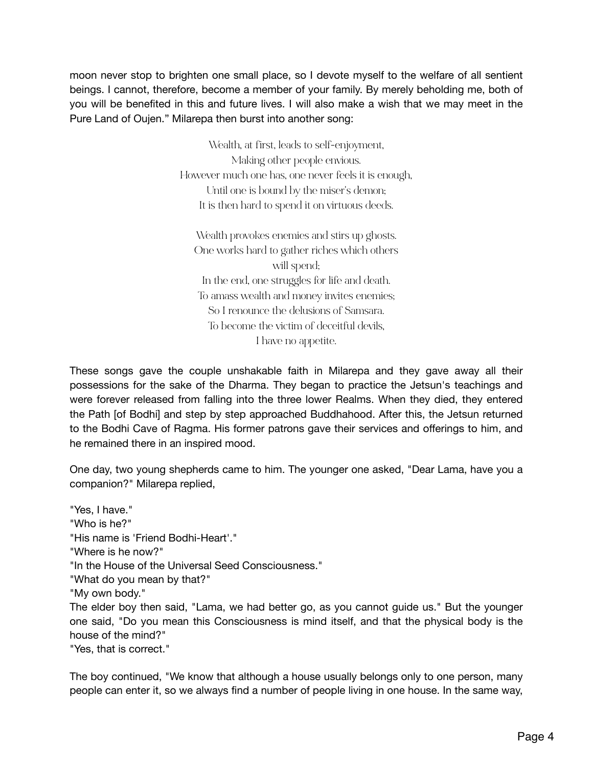moon never stop to brighten one small place, so I devote myself to the welfare of all sentient beings. I cannot, therefore, become a member of your family. By merely beholding me, both of you will be benefited in this and future lives. I will also make a wish that we may meet in the Pure Land of Oujen." Milarepa then burst into another song:

> Wealth, at first, leads to self-enjoyment, Making other people envious. However much one has, one never feels it is enough, Until one is bound by the miser's demon; It is then hard to spend it on virtuous deeds.

Wealth provokes enemies and stirs up ghosts. One works hard to gather riches which others will spend; In the end, one struggles for life and death. To amass wealth and money invites enemies; So I renounce the delusions of Samsara. To become the victim of deceitful devils, I have no appetite.

These songs gave the couple unshakable faith in Milarepa and they gave away all their possessions for the sake of the Dharma. They began to practice the Jetsun's teachings and were forever released from falling into the three lower Realms. When they died, they entered the Path [of Bodhi] and step by step approached Buddhahood. After this, the Jetsun returned to the Bodhi Cave of Ragma. His former patrons gave their services and offerings to him, and he remained there in an inspired mood.

One day, two young shepherds came to him. The younger one asked, "Dear Lama, have you a companion?" Milarepa replied,

"Yes, I have." "Who is he?" "His name is 'Friend Bodhi-Heart'." "Where is he now?" "In the House of the Universal Seed Consciousness." "What do you mean by that?" "My own body." The elder boy then said, "Lama, we had better go, as you cannot guide us." But the younger one said, "Do you mean this Consciousness is mind itself, and that the physical body is the house of the mind?"

"Yes, that is correct."

The boy continued, "We know that although a house usually belongs only to one person, many people can enter it, so we always find a number of people living in one house. In the same way,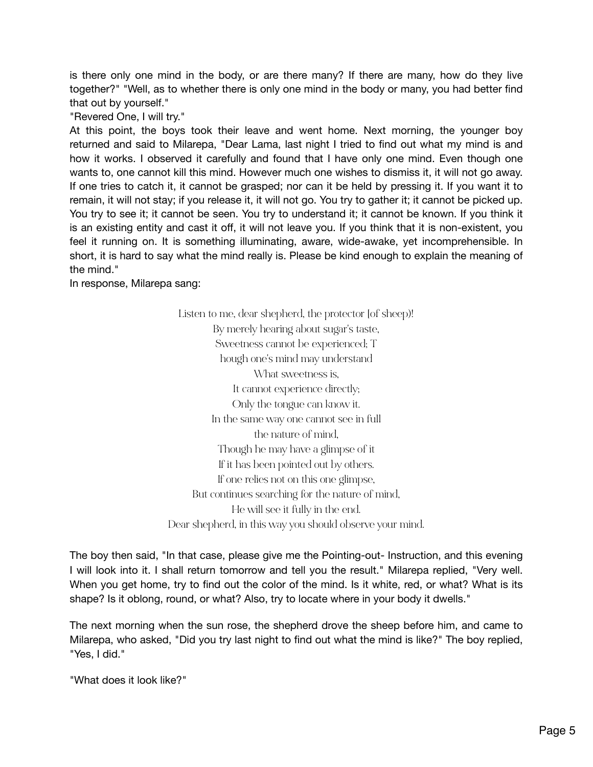is there only one mind in the body, or are there many? If there are many, how do they live together?" "Well, as to whether there is only one mind in the body or many, you had better find that out by yourself."

"Revered One, I will try."

At this point, the boys took their leave and went home. Next morning, the younger boy returned and said to Milarepa, "Dear Lama, last night I tried to find out what my mind is and how it works. I observed it carefully and found that I have only one mind. Even though one wants to, one cannot kill this mind. However much one wishes to dismiss it, it will not go away. If one tries to catch it, it cannot be grasped; nor can it be held by pressing it. If you want it to remain, it will not stay; if you release it, it will not go. You try to gather it; it cannot be picked up. You try to see it; it cannot be seen. You try to understand it; it cannot be known. If you think it is an existing entity and cast it off, it will not leave you. If you think that it is non-existent, you feel it running on. It is something illuminating, aware, wide-awake, yet incomprehensible. In short, it is hard to say what the mind really is. Please be kind enough to explain the meaning of the mind."

In response, Milarepa sang:

Listen to me, dear shepherd, the protector [of sheep)! By merely hearing about sugar's taste, Sweetness cannot be experienced; T hough one's mind may understand What sweetness is, It cannot experience directly; Only the tongue can know it. In the same way one cannot see in full the nature of mind, Though he may have a glimpse of it If it has been pointed out by others. If one relies not on this one glimpse, But continues searching for the nature of mind, He will see it fully in the end. Dear shepherd, in this way you should observe your mind.

The boy then said, "In that case, please give me the Pointing-out- Instruction, and this evening I will look into it. I shall return tomorrow and tell you the result." Milarepa replied, "Very well. When you get home, try to find out the color of the mind. Is it white, red, or what? What is its shape? Is it oblong, round, or what? Also, try to locate where in your body it dwells."

The next morning when the sun rose, the shepherd drove the sheep before him, and came to Milarepa, who asked, "Did you try last night to find out what the mind is like?" The boy replied, "Yes, I did."

"What does it look like?"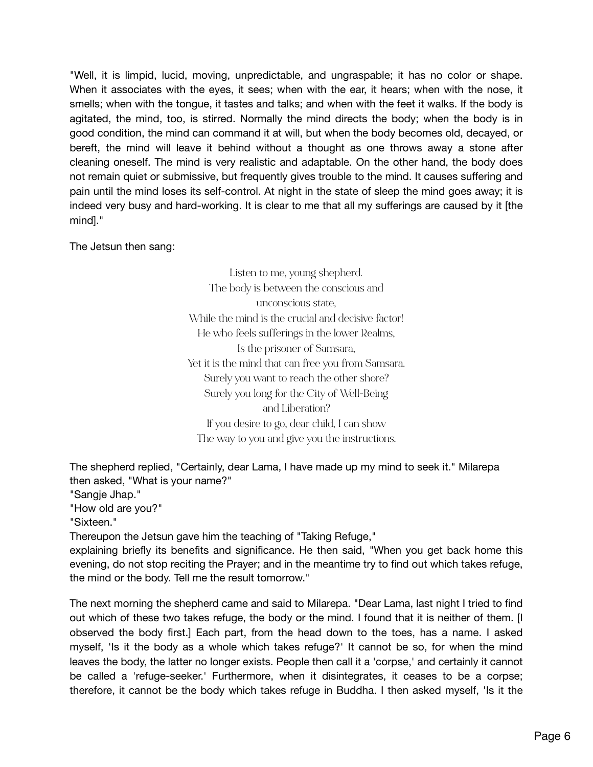"Well, it is limpid, lucid, moving, unpredictable, and ungraspable; it has no color or shape. When it associates with the eyes, it sees; when with the ear, it hears; when with the nose, it smells; when with the tongue, it tastes and talks; and when with the feet it walks. If the body is agitated, the mind, too, is stirred. Normally the mind directs the body; when the body is in good condition, the mind can command it at will, but when the body becomes old, decayed, or bereft, the mind will leave it behind without a thought as one throws away a stone after cleaning oneself. The mind is very realistic and adaptable. On the other hand, the body does not remain quiet or submissive, but frequently gives trouble to the mind. It causes suffering and pain until the mind loses its self-control. At night in the state of sleep the mind goes away; it is indeed very busy and hard-working. It is clear to me that all my sufferings are caused by it [the mind]."

The Jetsun then sang:

Listen to me, young shepherd. The body is between the conscious and unconscious state, While the mind is the crucial and decisive factor! He who feels sufferings in the lower Realms, Is the prisoner of Samsara, Yet it is the mind that can free you from Samsara. Surely you want to reach the other shore? Surely you long for the City of Well-Being and Liberation? If you desire to go, dear child, I can show The way to you and give you the instructions.

The shepherd replied, "Certainly, dear Lama, I have made up my mind to seek it." Milarepa then asked, "What is your name?"

"Sangje Jhap."

"How old are you?"

"Sixteen."

Thereupon the Jetsun gave him the teaching of "Taking Refuge,"

explaining briefly its benefits and significance. He then said, "When you get back home this evening, do not stop reciting the Prayer; and in the meantime try to find out which takes refuge, the mind or the body. Tell me the result tomorrow."

The next morning the shepherd came and said to Milarepa. "Dear Lama, last night I tried to find out which of these two takes refuge, the body or the mind. I found that it is neither of them. [I observed the body first.] Each part, from the head down to the toes, has a name. I asked myself, 'Is it the body as a whole which takes refuge?' It cannot be so, for when the mind leaves the body, the latter no longer exists. People then call it a 'corpse,' and certainly it cannot be called a 'refuge-seeker.' Furthermore, when it disintegrates, it ceases to be a corpse; therefore, it cannot be the body which takes refuge in Buddha. I then asked myself, 'Is it the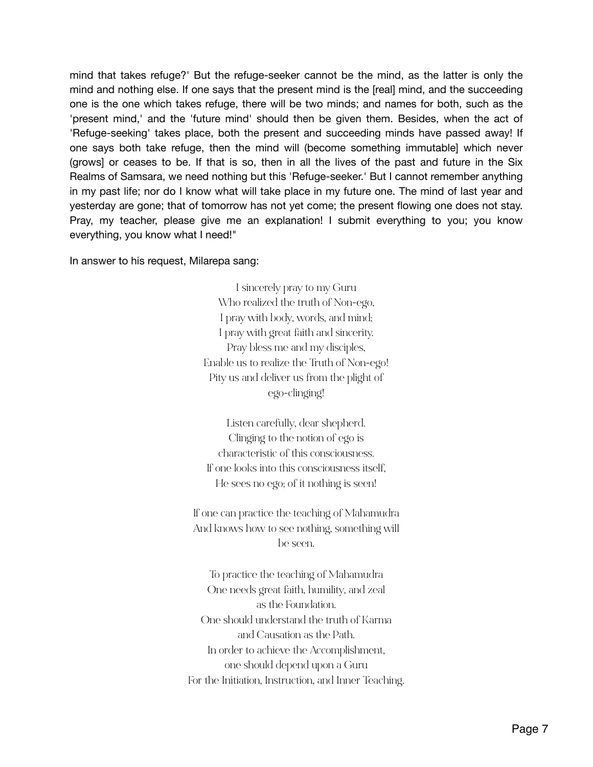mind that takes refuge?' But the refuge-seeker cannot be the mind, as the latter is only the mind and nothing else. If one says that the present mind is the [real] mind, and the succeeding one is the one which takes refuge, there will be two minds; and names for both, such as the 'present mind,' and the 'future mind' should then be given them. Besides, when the act of 'Refuge-seeking' takes place, both the present and succeeding minds have passed away! If one says both take refuge, then the mind will (become something immutable] which never (grows] or ceases to be. If that is so, then in all the lives of the past and future in the Six Realms of Samsara, we need nothing but this 'Refuge-seeker.' But I cannot remember anything in my past life; nor do I know what will take place in my future one. The mind of last year and yesterday are gone; that of tomorrow has not yet come; the present flowing one does not stay. Pray, my teacher, please give me an explanation! I submit everything to you; you know everything, you know what I need!"

In answer to his request, Milarepa sang:

I sincerely pray to my Guru Who realized the truth of Non-ego, I pray with body, words, and mind; I pray with great faith and sincerity. Pray bless me and my disciples, Enable us to realize the Truth of Non-ego! Pity us and deliver us from the plight of ego-clinging!

Listen carefully, dear shepherd. Clinging to the notion of ego is characteristic of this consciousness. If one looks into this consciousness itself, He sees no ego; of it nothing is seen!

If one can practice the teaching of Mahamudra And knows how to see nothing, something will be seen.

To practice the teaching of Mahamudra One needs great faith, humility, and zeal as the Foundation. One should understand the truth of Karma and Causation as the Path. In order to achieve the Accomplishment, one should depend upon a Guru For the Initiation, Instruction, and Inner Teaching.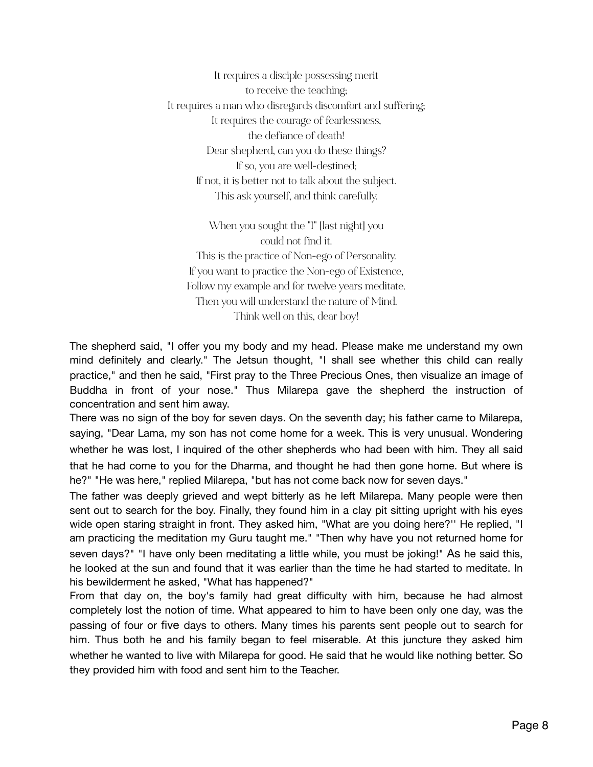It requires a disciple possessing merit to receive the teaching; It requires a man who disregards discomfort and suffering; It requires the courage of fearlessness, the defiance of death! Dear shepherd, can you do these things? If so, you are well-destined; If not, it is better not to talk about the subject. This ask yourself, and think carefully.

When you sought the "I" [last night] you could not find it. This is the practice of Non-ego of Personality. If you want to practice the Non-ego of Existence, Follow my example and for twelve years meditate. Then you will understand the nature of Mind. Think well on this, dear boy!

The shepherd said, "I offer you my body and my head. Please make me understand my own mind definitely and clearly." The Jetsun thought, "I shall see whether this child can really practice," and then he said, "First pray to the Three Precious Ones, then visualize an image of Buddha in front of your nose." Thus Milarepa gave the shepherd the instruction of concentration and sent him away.

There was no sign of the boy for seven days. On the seventh day; his father came to Milarepa, saying, "Dear Lama, my son has not come home for a week. This is very unusual. Wondering whether he was lost, I inquired of the other shepherds who had been with him. They all said that he had come to you for the Dharma, and thought he had then gone home. But where is he?" "He was here," replied Milarepa, "but has not come back now for seven days."

The father was deeply grieved and wept bitterly as he left Milarepa. Many people were then sent out to search for the boy. Finally, they found him in a clay pit sitting upright with his eyes wide open staring straight in front. They asked him, "What are you doing here?'' He replied, "I am practicing the meditation my Guru taught me." "Then why have you not returned home for seven days?" "I have only been meditating a little while, you must be joking!" As he said this, he looked at the sun and found that it was earlier than the time he had started to meditate. In his bewilderment he asked, "What has happened?"

From that day on, the boy's family had great difficulty with him, because he had almost completely lost the notion of time. What appeared to him to have been only one day, was the passing of four or five days to others. Many times his parents sent people out to search for him. Thus both he and his family began to feel miserable. At this juncture they asked him whether he wanted to live with Milarepa for good. He said that he would like nothing better. So they provided him with food and sent him to the Teacher.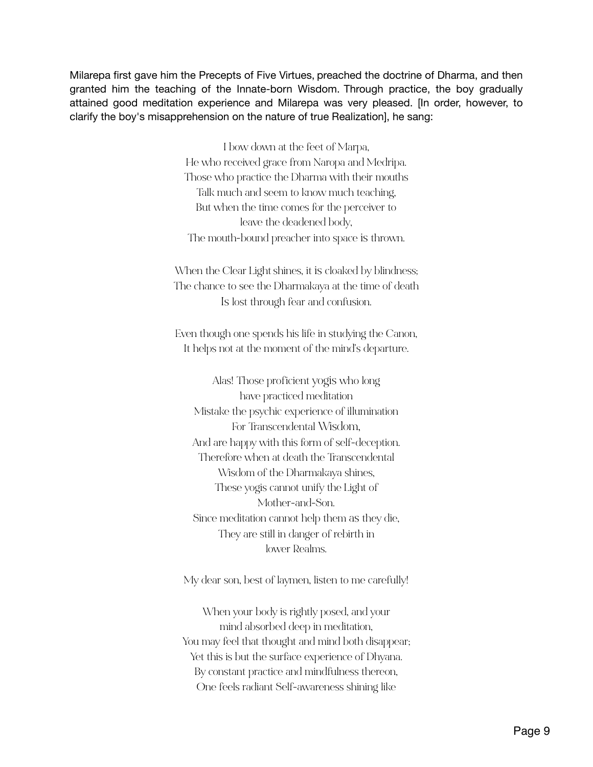Milarepa first gave him the Precepts of Five Virtues, preached the doctrine of Dharma, and then granted him the teaching of the Innate-born Wisdom. Through practice, the boy gradually attained good meditation experience and Milarepa was very pleased. [In order, however, to clarify the boy's misapprehension on the nature of true Realization], he sang:

> I bow down at the feet of Marpa, He who received grace from Naropa and Medripa. Those who practice the Dharma with their mouths Talk much and seem to know much teaching, But when the time comes for the perceiver to leave the deadened body, The mouth-bound preacher into space is thrown.

When the Clear Light shines, it is cloaked by blindness; The chance to see the Dharmakaya at the time of death Is lost through fear and confusion.

Even though one spends his life in studying the Canon, It helps not at the moment of the mind's departure.

Alas! Those proficient yogis who long have practiced meditation Mistake the psychic experience of illumination For Transcendental Wisdom, And are happy with this form of self-deception. Therefore when at death the Transcendental Wisdom of the Dharmakaya shines, These yogis cannot unify the Light of Mother-and-Son. Since meditation cannot help them as they die, They are still in danger of rebirth in lower Realms.

My dear son, best of laymen, listen to me carefully!

When your body is rightly posed, and your mind absorbed deep in meditation, You may feel that thought and mind both disappear; Yet this is but the surface experience of Dhyana. By constant practice and mindfulness thereon, One feels radiant Self-awareness shining like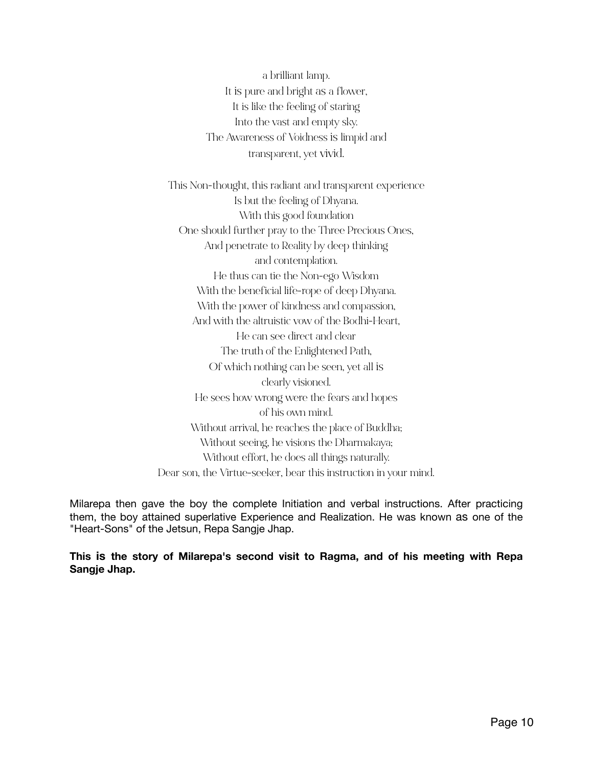a brilliant lamp. It is pure and bright as a flower, It is like the feeling of staring Into the vast and empty sky. The Awareness of Voidness is limpid and transparent, yet vivid.

This Non-thought, this radiant and transparent experience Is but the feeling of Dhyana. With this good foundation One should further pray to the Three Precious Ones, And penetrate to Reality by deep thinking and contemplation. He thus can tie the Non-ego Wisdom With the beneficial life-rope of deep Dhyana. With the power of kindness and compassion, And with the altruistic vow of the Bodhi-Heart, He can see direct and clear The truth of the Enlightened Path, Of which nothing can be seen, yet all is clearly visioned. He sees how wrong were the fears and hopes of his own mind. Without arrival, he reaches the place of Buddha; Without seeing, he visions the Dharmakaya; Without effort, he does all things naturally. Dear son, the Virtue-seeker, bear this instruction in your mind.

Milarepa then gave the boy the complete Initiation and verbal instructions. After practicing them, the boy attained superlative Experience and Realization. He was known as one of the "Heart-Sons" of the Jetsun, Repa Sangje Jhap.

**This is the story of Milarepa's second visit to Ragma, and of his meeting with Repa Sangje Jhap.**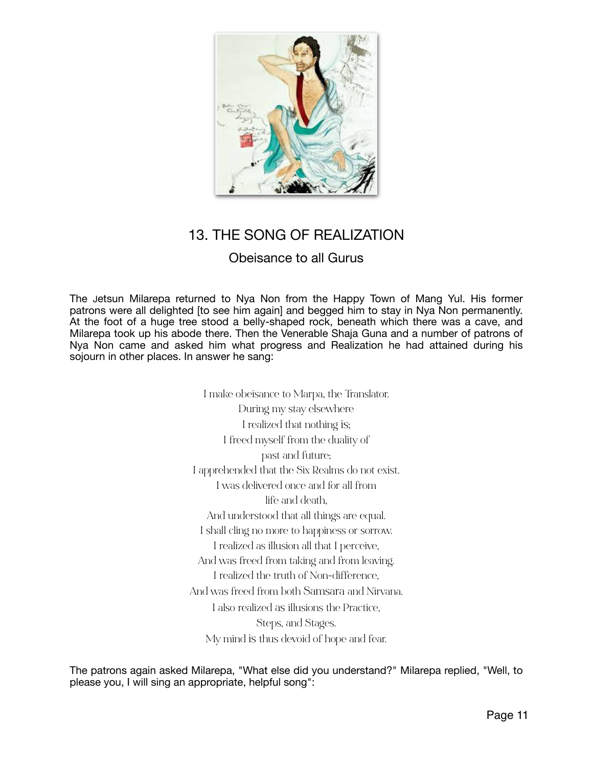

## 13. THE SONG OF REALIZATION

## Obeisance to all Gurus

The Jetsun Milarepa returned to Nya Non from the Happy Town of Mang Yul. His former patrons were all delighted [to see him again] and begged him to stay in Nya Non permanently. At the foot of a huge tree stood a belly-shaped rock, beneath which there was a cave, and Milarepa took up his abode there. Then the Venerable Shaja Guna and a number of patrons of Nya Non came and asked him what progress and Realization he had attained during his sojourn in other places. In answer he sang:

> I make obeisance to Marpa, the Translator. During my stay elsewhere I realized that nothing is; I freed myself from the duality of past and future; I apprehended that the Six Realms do not exist. I was delivered once and for all from life and death, And understood that all things are equal. I shall cling no more to happiness or sorrow. I realized as illusion all that I perceive, And was freed from taking and from leaving. I realized the truth of Non-difference, And was freed from both Samsara and Nirvana. I also realized as illusions the Practice, Steps, and Stages. My mind is thus devoid of hope and fear.

The patrons again asked Milarepa, "What else did you understand?" Milarepa replied, "Well, to please you, I will sing an appropriate, helpful song":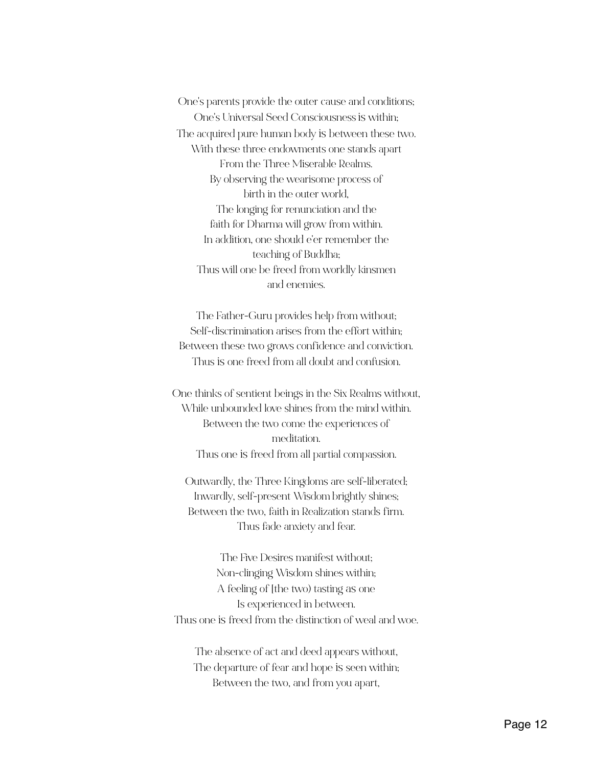One's parents provide the outer cause and conditions; One's Universal Seed Consciousness is within; The acquired pure human body is between these two. With these three endowments one stands apart From the Three Miserable Realms. By observing the wearisome process of birth in the outer world, The longing for renunciation and the faith for Dharma will grow from within. In addition, one should e'er remember the teaching of Buddha; Thus will one be freed from worldly kinsmen and enemies.

The Father-Guru provides help from without; Self-discrimination arises from the effort within; Between these two grows confidence and conviction. Thus is one freed from all doubt and confusion.

One thinks of sentient beings in the Six Realms without, While unbounded love shines from the mind within. Between the two come the experiences of meditation. Thus one is freed from all partial compassion.

Outwardly, the Three Kingdoms are self-liberated; Inwardly, self-present Wisdom brightly shines; Between the two, faith in Realization stands firm. Thus fade anxiety and fear.

The Five Desires manifest without; Non-clinging Wisdom shines within; A feeling of [the two) tasting as one Is experienced in between. Thus one is freed from the distinction of weal and woe.

The absence of act and deed appears without, The departure of fear and hope is seen within; Between the two, and from you apart,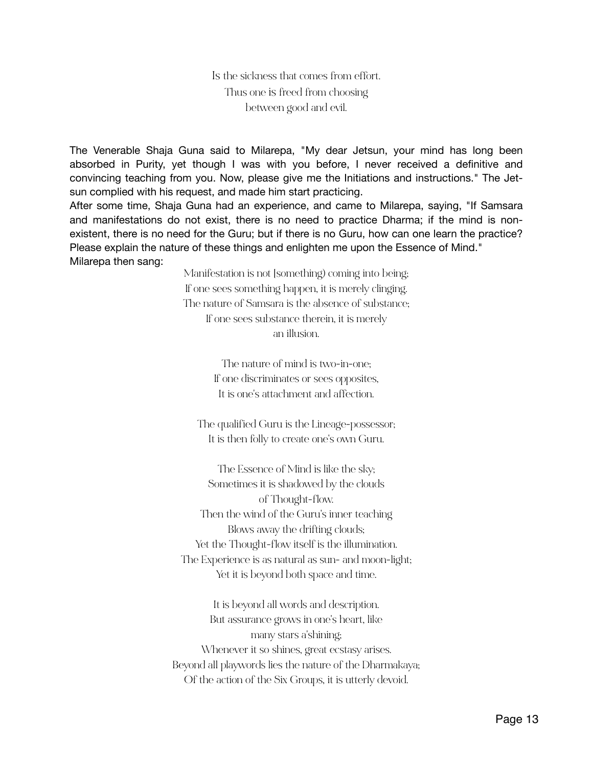Is the sickness that comes from effort. Thus one is freed from choosing between good and evil.

The Venerable Shaja Guna said to Milarepa, "My dear Jetsun, your mind has long been absorbed in Purity, yet though I was with you before, I never received a definitive and convincing teaching from you. Now, please give me the Initiations and instructions." The Jetsun complied with his request, and made him start practicing.

After some time, Shaja Guna had an experience, and came to Milarepa, saying, "If Samsara and manifestations do not exist, there is no need to practice Dharma; if the mind is nonexistent, there is no need for the Guru; but if there is no Guru, how can one learn the practice? Please explain the nature of these things and enlighten me upon the Essence of Mind." Milarepa then sang:

> Manifestation is not [something) coming into being; If one sees something happen, it is merely clinging. The nature of Samsara is the absence of substance; If one sees substance therein, it is merely an illusion.

> > The nature of mind is two-in-one; If one discriminates or sees opposites, It is one's attachment and affection.

The qualified Guru is the Lineage-possessor; It is then folly to create one's own Guru.

The Essence of Mind is like the sky; Sometimes it is shadowed by the clouds of Thought-flow. Then the wind of the Guru's inner teaching Blows away the drifting clouds; Yet the Thought-flow itself is the illumination. The Experience is as natural as sun- and moon-light; Yet it is beyond both space and time.

It is beyond all words and description. But assurance grows in one's heart, like many stars a'shining; Whenever it so shines, great ecstasy arises. Beyond all playwords lies the nature of the Dharmakaya; Of the action of the Six Groups, it is utterly devoid.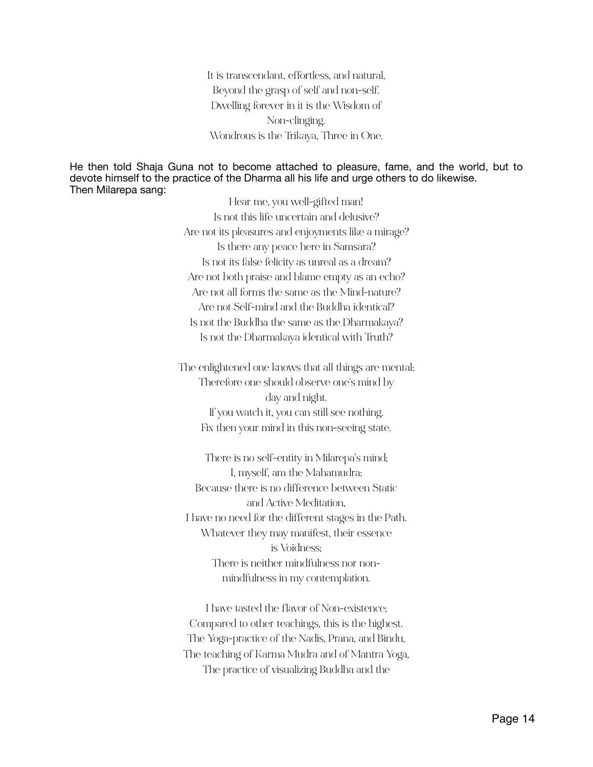It is transcendant, effortless, and natural, Beyond the grasp of self and non-self. Dwelling forever in it is the Wisdom of Non-clinging. Wondrous is the Trikaya, Three in One.

He then told Shaja Guna not to become attached to pleasure, fame, and the world, but to devote himself to the practice of the Dharma all his life and urge others to do likewise. Then Milarepa sang:

> Hear me, you well-gifted man! Is not this life uncertain and delusive? Are not its pleasures and enjoyments like a mirage? Is there any peace here in Samsara? Is not its false felicity as unreal as a dream? Are not both praise and blame empty as an echo? Are not all forms the same as the Mind-nature? Are not Self-mind and the Buddha identical? Is not the Buddha the same as the Dharmakaya? Is not the Dharmakaya identical with Truth?

The enlightened one knows that all things are mental; Therefore one should observe one's mind by day and night. If you watch it, you can still see nothing. Fix then your mind in this non-seeing state.

There is no self-entity in Milarepa's mind; I, myself, am the Mahamudra; Because there is no difference between Static and Active Meditation, I have no need for the different stages in the Path. Whatever they may manifest, their essence is Voidness; There is neither mindfulness nor nonmindfulness in my contemplation.

I have tasted the flavor of Non-existence; Compared to other teachings, this is the highest. The Yoga-practice of the Nadis, Prana, and Bindu, The teaching of Karma Mudra and of Mantra Yoga, The practice of visualizing Buddha and the